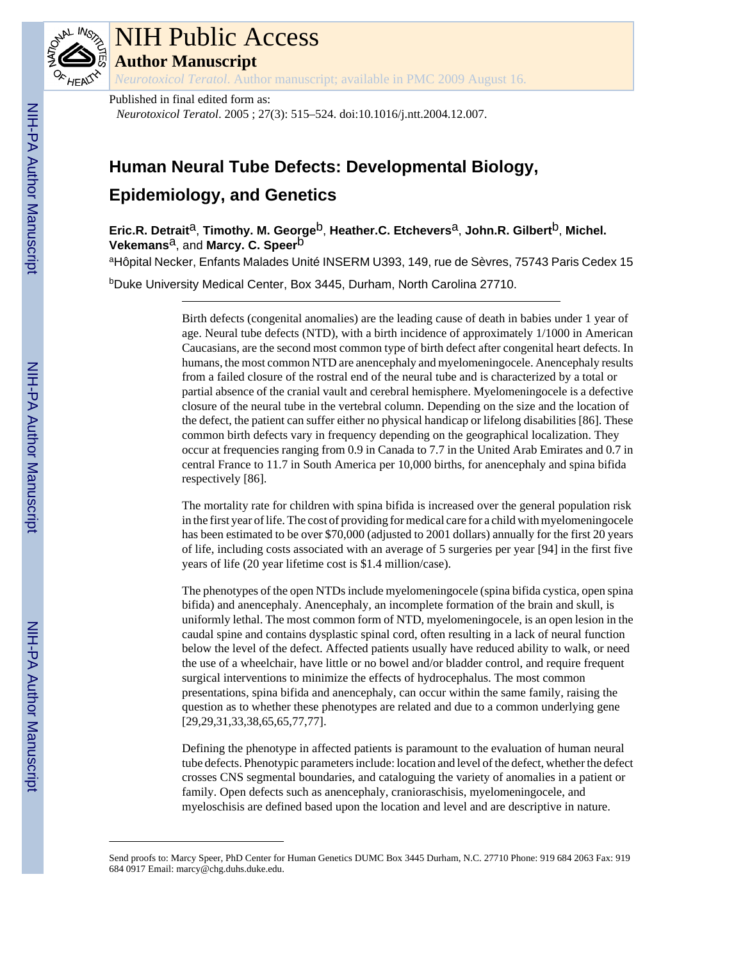

# NIH Public Access

**Author Manuscript**

*Neurotoxicol Teratol*. Author manuscript; available in PMC 2009 August 16.

Published in final edited form as:

*Neurotoxicol Teratol*. 2005 ; 27(3): 515–524. doi:10.1016/j.ntt.2004.12.007.

## **Human Neural Tube Defects: Developmental Biology,**

### **Epidemiology, and Genetics**

**Eric.R. Detrait**a, **Timothy. M. George**b, **Heather.C. Etchevers**a, **John.R. Gilbert**b, **Michel. Vekemans**<sup>a</sup>, and **Marcy. C. Speer**<sup>b</sup>

aHôpital Necker, Enfants Malades Unité INSERM U393, 149, rue de Sèvres, 75743 Paris Cedex 15

<sup>b</sup>Duke University Medical Center, Box 3445, Durham, North Carolina 27710.

Birth defects (congenital anomalies) are the leading cause of death in babies under 1 year of age. Neural tube defects (NTD), with a birth incidence of approximately 1/1000 in American Caucasians, are the second most common type of birth defect after congenital heart defects. In humans, the most common NTD are anencephaly and myelomeningocele. Anencephaly results from a failed closure of the rostral end of the neural tube and is characterized by a total or partial absence of the cranial vault and cerebral hemisphere. Myelomeningocele is a defective closure of the neural tube in the vertebral column. Depending on the size and the location of the defect, the patient can suffer either no physical handicap or lifelong disabilities [86]. These common birth defects vary in frequency depending on the geographical localization. They occur at frequencies ranging from 0.9 in Canada to 7.7 in the United Arab Emirates and 0.7 in central France to 11.7 in South America per 10,000 births, for anencephaly and spina bifida respectively [86].

The mortality rate for children with spina bifida is increased over the general population risk in the first year of life. The cost of providing for medical care for a child with myelomeningocele has been estimated to be over \$70,000 (adjusted to 2001 dollars) annually for the first 20 years of life, including costs associated with an average of 5 surgeries per year [94] in the first five years of life (20 year lifetime cost is \$1.4 million/case).

The phenotypes of the open NTDs include myelomeningocele (spina bifida cystica, open spina bifida) and anencephaly. Anencephaly, an incomplete formation of the brain and skull, is uniformly lethal. The most common form of NTD, myelomeningocele, is an open lesion in the caudal spine and contains dysplastic spinal cord, often resulting in a lack of neural function below the level of the defect. Affected patients usually have reduced ability to walk, or need the use of a wheelchair, have little or no bowel and/or bladder control, and require frequent surgical interventions to minimize the effects of hydrocephalus. The most common presentations, spina bifida and anencephaly, can occur within the same family, raising the question as to whether these phenotypes are related and due to a common underlying gene [29,29,31,33,38,65,65,77,77].

Defining the phenotype in affected patients is paramount to the evaluation of human neural tube defects. Phenotypic parameters include: location and level of the defect, whether the defect crosses CNS segmental boundaries, and cataloguing the variety of anomalies in a patient or family. Open defects such as anencephaly, cranioraschisis, myelomeningocele, and myeloschisis are defined based upon the location and level and are descriptive in nature.

Send proofs to: Marcy Speer, PhD Center for Human Genetics DUMC Box 3445 Durham, N.C. 27710 Phone: 919 684 2063 Fax: 919 684 0917 Email: marcy@chg.duhs.duke.edu.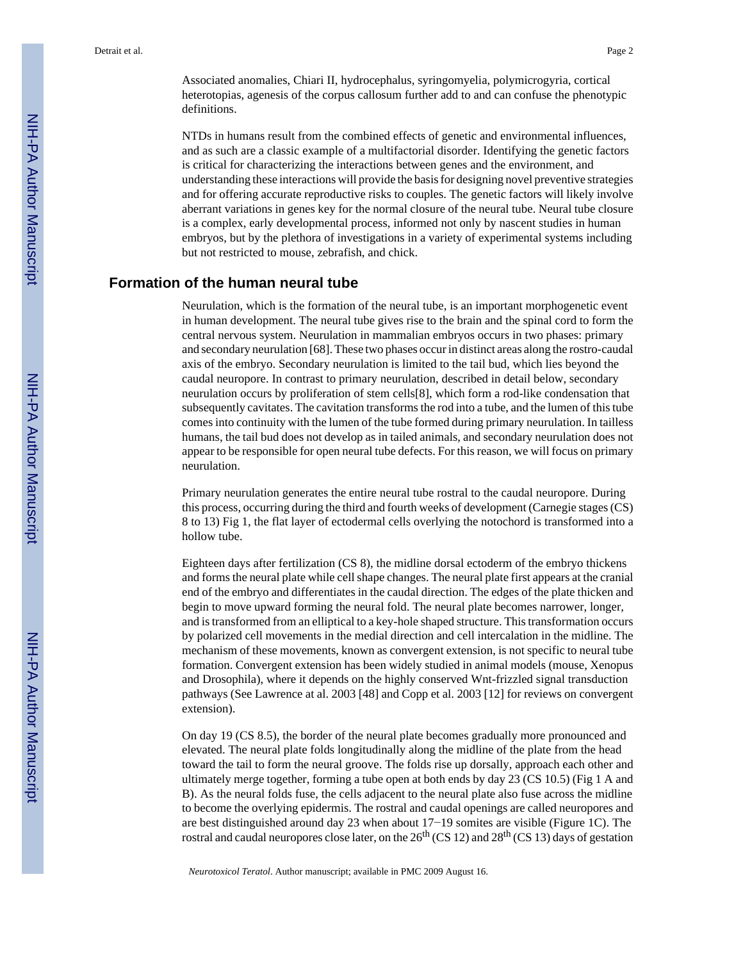Associated anomalies, Chiari II, hydrocephalus, syringomyelia, polymicrogyria, cortical heterotopias, agenesis of the corpus callosum further add to and can confuse the phenotypic definitions.

NTDs in humans result from the combined effects of genetic and environmental influences, and as such are a classic example of a multifactorial disorder. Identifying the genetic factors is critical for characterizing the interactions between genes and the environment, and understanding these interactions will provide the basis for designing novel preventive strategies and for offering accurate reproductive risks to couples. The genetic factors will likely involve aberrant variations in genes key for the normal closure of the neural tube. Neural tube closure is a complex, early developmental process, informed not only by nascent studies in human embryos, but by the plethora of investigations in a variety of experimental systems including but not restricted to mouse, zebrafish, and chick.

#### **Formation of the human neural tube**

Neurulation, which is the formation of the neural tube, is an important morphogenetic event in human development. The neural tube gives rise to the brain and the spinal cord to form the central nervous system. Neurulation in mammalian embryos occurs in two phases: primary and secondary neurulation [68]. These two phases occur in distinct areas along the rostro-caudal axis of the embryo. Secondary neurulation is limited to the tail bud, which lies beyond the caudal neuropore. In contrast to primary neurulation, described in detail below, secondary neurulation occurs by proliferation of stem cells[8], which form a rod-like condensation that subsequently cavitates. The cavitation transforms the rod into a tube, and the lumen of this tube comes into continuity with the lumen of the tube formed during primary neurulation. In tailless humans, the tail bud does not develop as in tailed animals, and secondary neurulation does not appear to be responsible for open neural tube defects. For this reason, we will focus on primary neurulation.

Primary neurulation generates the entire neural tube rostral to the caudal neuropore. During this process, occurring during the third and fourth weeks of development (Carnegie stages (CS) 8 to 13) Fig 1, the flat layer of ectodermal cells overlying the notochord is transformed into a hollow tube.

Eighteen days after fertilization (CS 8), the midline dorsal ectoderm of the embryo thickens and forms the neural plate while cell shape changes. The neural plate first appears at the cranial end of the embryo and differentiates in the caudal direction. The edges of the plate thicken and begin to move upward forming the neural fold. The neural plate becomes narrower, longer, and is transformed from an elliptical to a key-hole shaped structure. This transformation occurs by polarized cell movements in the medial direction and cell intercalation in the midline. The mechanism of these movements, known as convergent extension, is not specific to neural tube formation. Convergent extension has been widely studied in animal models (mouse, Xenopus and Drosophila), where it depends on the highly conserved Wnt-frizzled signal transduction pathways (See Lawrence at al. 2003 [48] and Copp et al. 2003 [12] for reviews on convergent extension).

On day 19 (CS 8.5), the border of the neural plate becomes gradually more pronounced and elevated. The neural plate folds longitudinally along the midline of the plate from the head toward the tail to form the neural groove. The folds rise up dorsally, approach each other and ultimately merge together, forming a tube open at both ends by day 23 (CS 10.5) (Fig 1 A and B). As the neural folds fuse, the cells adjacent to the neural plate also fuse across the midline to become the overlying epidermis. The rostral and caudal openings are called neuropores and are best distinguished around day 23 when about 17−19 somites are visible (Figure 1C). The rostral and caudal neuropores close later, on the  $26<sup>th</sup>$  (CS 12) and  $28<sup>th</sup>$  (CS 13) days of gestation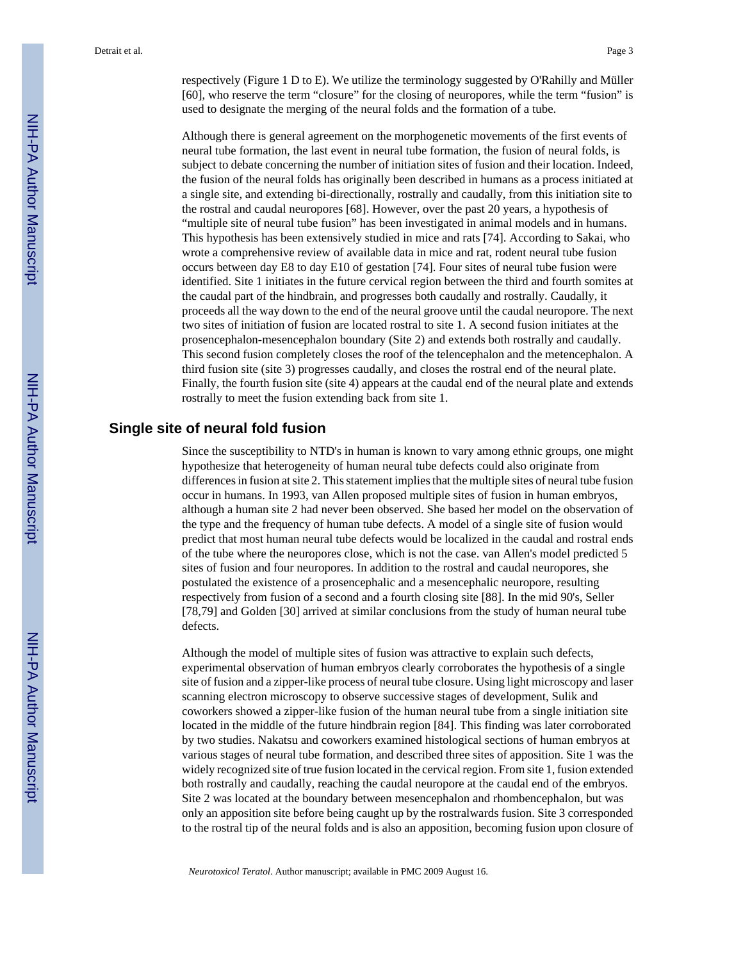respectively (Figure 1 D to E). We utilize the terminology suggested by O'Rahilly and Müller [60], who reserve the term "closure" for the closing of neuropores, while the term "fusion" is used to designate the merging of the neural folds and the formation of a tube.

Although there is general agreement on the morphogenetic movements of the first events of neural tube formation, the last event in neural tube formation, the fusion of neural folds, is subject to debate concerning the number of initiation sites of fusion and their location. Indeed, the fusion of the neural folds has originally been described in humans as a process initiated at a single site, and extending bi-directionally, rostrally and caudally, from this initiation site to the rostral and caudal neuropores [68]. However, over the past 20 years, a hypothesis of "multiple site of neural tube fusion" has been investigated in animal models and in humans. This hypothesis has been extensively studied in mice and rats [74]. According to Sakai, who wrote a comprehensive review of available data in mice and rat, rodent neural tube fusion occurs between day E8 to day E10 of gestation [74]. Four sites of neural tube fusion were identified. Site 1 initiates in the future cervical region between the third and fourth somites at the caudal part of the hindbrain, and progresses both caudally and rostrally. Caudally, it proceeds all the way down to the end of the neural groove until the caudal neuropore. The next two sites of initiation of fusion are located rostral to site 1. A second fusion initiates at the prosencephalon-mesencephalon boundary (Site 2) and extends both rostrally and caudally. This second fusion completely closes the roof of the telencephalon and the metencephalon. A third fusion site (site 3) progresses caudally, and closes the rostral end of the neural plate. Finally, the fourth fusion site (site 4) appears at the caudal end of the neural plate and extends rostrally to meet the fusion extending back from site 1.

#### **Single site of neural fold fusion**

Since the susceptibility to NTD's in human is known to vary among ethnic groups, one might hypothesize that heterogeneity of human neural tube defects could also originate from differences in fusion at site 2. This statement implies that the multiple sites of neural tube fusion occur in humans. In 1993, van Allen proposed multiple sites of fusion in human embryos, although a human site 2 had never been observed. She based her model on the observation of the type and the frequency of human tube defects. A model of a single site of fusion would predict that most human neural tube defects would be localized in the caudal and rostral ends of the tube where the neuropores close, which is not the case. van Allen's model predicted 5 sites of fusion and four neuropores. In addition to the rostral and caudal neuropores, she postulated the existence of a prosencephalic and a mesencephalic neuropore, resulting respectively from fusion of a second and a fourth closing site [88]. In the mid 90's, Seller [78,79] and Golden [30] arrived at similar conclusions from the study of human neural tube defects.

Although the model of multiple sites of fusion was attractive to explain such defects, experimental observation of human embryos clearly corroborates the hypothesis of a single site of fusion and a zipper-like process of neural tube closure. Using light microscopy and laser scanning electron microscopy to observe successive stages of development, Sulik and coworkers showed a zipper-like fusion of the human neural tube from a single initiation site located in the middle of the future hindbrain region [84]. This finding was later corroborated by two studies. Nakatsu and coworkers examined histological sections of human embryos at various stages of neural tube formation, and described three sites of apposition. Site 1 was the widely recognized site of true fusion located in the cervical region. From site 1, fusion extended both rostrally and caudally, reaching the caudal neuropore at the caudal end of the embryos. Site 2 was located at the boundary between mesencephalon and rhombencephalon, but was only an apposition site before being caught up by the rostralwards fusion. Site 3 corresponded to the rostral tip of the neural folds and is also an apposition, becoming fusion upon closure of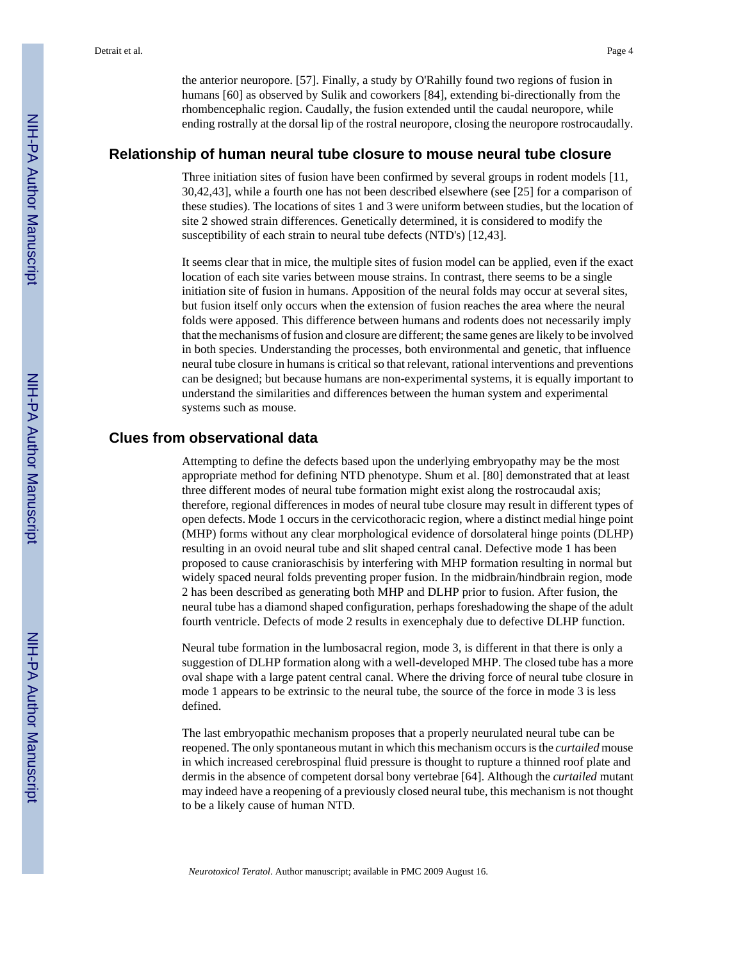the anterior neuropore. [57]. Finally, a study by O'Rahilly found two regions of fusion in humans [60] as observed by Sulik and coworkers [84], extending bi-directionally from the rhombencephalic region. Caudally, the fusion extended until the caudal neuropore, while ending rostrally at the dorsal lip of the rostral neuropore, closing the neuropore rostrocaudally.

#### **Relationship of human neural tube closure to mouse neural tube closure**

Three initiation sites of fusion have been confirmed by several groups in rodent models [11, 30,42,43], while a fourth one has not been described elsewhere (see [25] for a comparison of these studies). The locations of sites 1 and 3 were uniform between studies, but the location of site 2 showed strain differences. Genetically determined, it is considered to modify the susceptibility of each strain to neural tube defects (NTD's) [12,43].

It seems clear that in mice, the multiple sites of fusion model can be applied, even if the exact location of each site varies between mouse strains. In contrast, there seems to be a single initiation site of fusion in humans. Apposition of the neural folds may occur at several sites, but fusion itself only occurs when the extension of fusion reaches the area where the neural folds were apposed. This difference between humans and rodents does not necessarily imply that the mechanisms of fusion and closure are different; the same genes are likely to be involved in both species. Understanding the processes, both environmental and genetic, that influence neural tube closure in humans is critical so that relevant, rational interventions and preventions can be designed; but because humans are non-experimental systems, it is equally important to understand the similarities and differences between the human system and experimental systems such as mouse.

#### **Clues from observational data**

Attempting to define the defects based upon the underlying embryopathy may be the most appropriate method for defining NTD phenotype. Shum et al. [80] demonstrated that at least three different modes of neural tube formation might exist along the rostrocaudal axis; therefore, regional differences in modes of neural tube closure may result in different types of open defects. Mode 1 occurs in the cervicothoracic region, where a distinct medial hinge point (MHP) forms without any clear morphological evidence of dorsolateral hinge points (DLHP) resulting in an ovoid neural tube and slit shaped central canal. Defective mode 1 has been proposed to cause cranioraschisis by interfering with MHP formation resulting in normal but widely spaced neural folds preventing proper fusion. In the midbrain/hindbrain region, mode 2 has been described as generating both MHP and DLHP prior to fusion. After fusion, the neural tube has a diamond shaped configuration, perhaps foreshadowing the shape of the adult fourth ventricle. Defects of mode 2 results in exencephaly due to defective DLHP function.

Neural tube formation in the lumbosacral region, mode 3, is different in that there is only a suggestion of DLHP formation along with a well-developed MHP. The closed tube has a more oval shape with a large patent central canal. Where the driving force of neural tube closure in mode 1 appears to be extrinsic to the neural tube, the source of the force in mode 3 is less defined.

The last embryopathic mechanism proposes that a properly neurulated neural tube can be reopened. The only spontaneous mutant in which this mechanism occurs is the *curtailed* mouse in which increased cerebrospinal fluid pressure is thought to rupture a thinned roof plate and dermis in the absence of competent dorsal bony vertebrae [64]. Although the *curtailed* mutant may indeed have a reopening of a previously closed neural tube, this mechanism is not thought to be a likely cause of human NTD.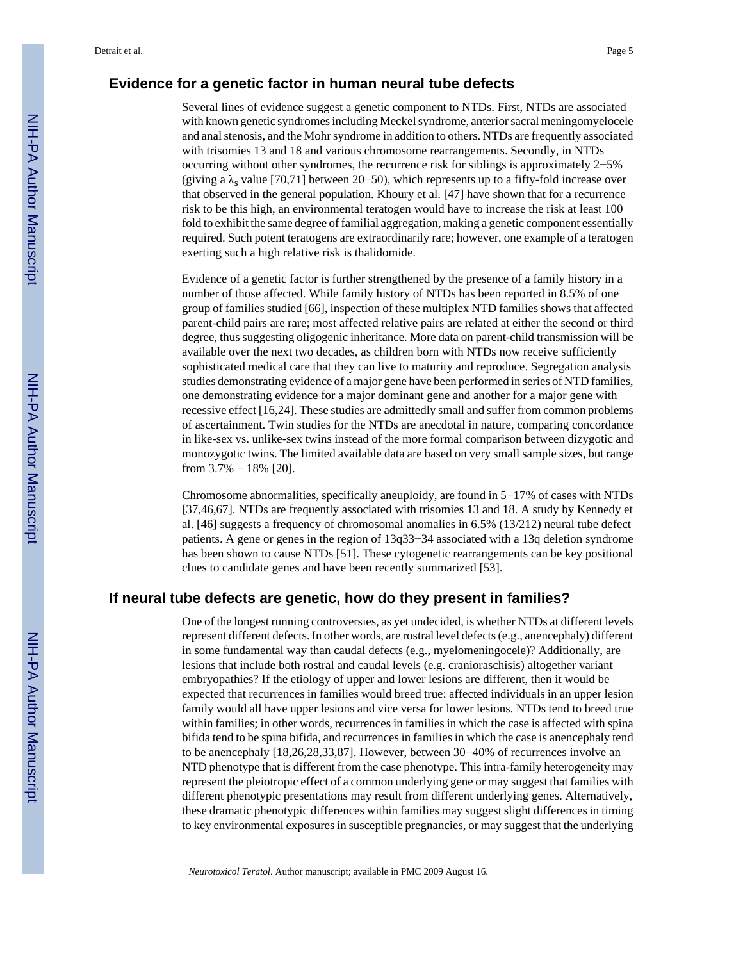#### **Evidence for a genetic factor in human neural tube defects**

Several lines of evidence suggest a genetic component to NTDs. First, NTDs are associated with known genetic syndromes including Meckel syndrome, anterior sacral meningomyelocele and anal stenosis, and the Mohr syndrome in addition to others. NTDs are frequently associated with trisomies 13 and 18 and various chromosome rearrangements. Secondly, in NTDs occurring without other syndromes, the recurrence risk for siblings is approximately 2−5% (giving a  $\lambda_s$  value [70,71] between 20–50), which represents up to a fifty-fold increase over that observed in the general population. Khoury et al. [47] have shown that for a recurrence risk to be this high, an environmental teratogen would have to increase the risk at least 100 fold to exhibit the same degree of familial aggregation, making a genetic component essentially required. Such potent teratogens are extraordinarily rare; however, one example of a teratogen exerting such a high relative risk is thalidomide.

Evidence of a genetic factor is further strengthened by the presence of a family history in a number of those affected. While family history of NTDs has been reported in 8.5% of one group of families studied [66], inspection of these multiplex NTD families shows that affected parent-child pairs are rare; most affected relative pairs are related at either the second or third degree, thus suggesting oligogenic inheritance. More data on parent-child transmission will be available over the next two decades, as children born with NTDs now receive sufficiently sophisticated medical care that they can live to maturity and reproduce. Segregation analysis studies demonstrating evidence of a major gene have been performed in series of NTD families, one demonstrating evidence for a major dominant gene and another for a major gene with recessive effect [16,24]. These studies are admittedly small and suffer from common problems of ascertainment. Twin studies for the NTDs are anecdotal in nature, comparing concordance in like-sex vs. unlike-sex twins instead of the more formal comparison between dizygotic and monozygotic twins. The limited available data are based on very small sample sizes, but range from 3.7% − 18% [20].

Chromosome abnormalities, specifically aneuploidy, are found in 5−17% of cases with NTDs [37,46,67]. NTDs are frequently associated with trisomies 13 and 18. A study by Kennedy et al. [46] suggests a frequency of chromosomal anomalies in 6.5% (13/212) neural tube defect patients. A gene or genes in the region of 13q33−34 associated with a 13q deletion syndrome has been shown to cause NTDs [51]. These cytogenetic rearrangements can be key positional clues to candidate genes and have been recently summarized [53].

#### **If neural tube defects are genetic, how do they present in families?**

One of the longest running controversies, as yet undecided, is whether NTDs at different levels represent different defects. In other words, are rostral level defects (e.g., anencephaly) different in some fundamental way than caudal defects (e.g., myelomeningocele)? Additionally, are lesions that include both rostral and caudal levels (e.g. cranioraschisis) altogether variant embryopathies? If the etiology of upper and lower lesions are different, then it would be expected that recurrences in families would breed true: affected individuals in an upper lesion family would all have upper lesions and vice versa for lower lesions. NTDs tend to breed true within families; in other words, recurrences in families in which the case is affected with spina bifida tend to be spina bifida, and recurrences in families in which the case is anencephaly tend to be anencephaly [18,26,28,33,87]. However, between 30−40% of recurrences involve an NTD phenotype that is different from the case phenotype. This intra-family heterogeneity may represent the pleiotropic effect of a common underlying gene or may suggest that families with different phenotypic presentations may result from different underlying genes. Alternatively, these dramatic phenotypic differences within families may suggest slight differences in timing to key environmental exposures in susceptible pregnancies, or may suggest that the underlying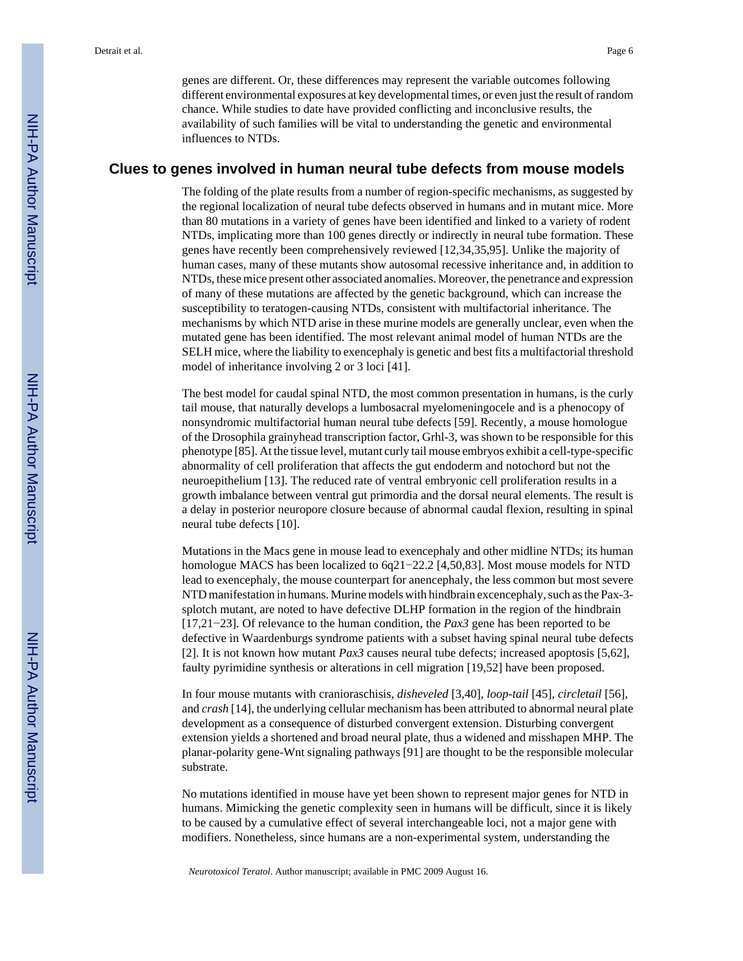genes are different. Or, these differences may represent the variable outcomes following different environmental exposures at key developmental times, or even just the result of random chance. While studies to date have provided conflicting and inconclusive results, the availability of such families will be vital to understanding the genetic and environmental influences to NTDs.

#### **Clues to genes involved in human neural tube defects from mouse models**

The folding of the plate results from a number of region-specific mechanisms, as suggested by the regional localization of neural tube defects observed in humans and in mutant mice. More than 80 mutations in a variety of genes have been identified and linked to a variety of rodent NTDs, implicating more than 100 genes directly or indirectly in neural tube formation. These genes have recently been comprehensively reviewed [12,34,35,95]. Unlike the majority of human cases, many of these mutants show autosomal recessive inheritance and, in addition to NTDs, these mice present other associated anomalies. Moreover, the penetrance and expression of many of these mutations are affected by the genetic background, which can increase the susceptibility to teratogen-causing NTDs, consistent with multifactorial inheritance. The mechanisms by which NTD arise in these murine models are generally unclear, even when the mutated gene has been identified. The most relevant animal model of human NTDs are the SELH mice, where the liability to exencephaly is genetic and best fits a multifactorial threshold model of inheritance involving 2 or 3 loci [41].

The best model for caudal spinal NTD, the most common presentation in humans, is the curly tail mouse, that naturally develops a lumbosacral myelomeningocele and is a phenocopy of nonsyndromic multifactorial human neural tube defects [59]. Recently, a mouse homologue of the Drosophila grainyhead transcription factor, Grhl-3, was shown to be responsible for this phenotype [85]. At the tissue level, mutant curly tail mouse embryos exhibit a cell-type-specific abnormality of cell proliferation that affects the gut endoderm and notochord but not the neuroepithelium [13]. The reduced rate of ventral embryonic cell proliferation results in a growth imbalance between ventral gut primordia and the dorsal neural elements. The result is a delay in posterior neuropore closure because of abnormal caudal flexion, resulting in spinal neural tube defects [10].

Mutations in the Macs gene in mouse lead to exencephaly and other midline NTDs; its human homologue MACS has been localized to 6q21−22.2 [4,50,83]. Most mouse models for NTD lead to exencephaly, the mouse counterpart for anencephaly, the less common but most severe NTD manifestation in humans. Murine models with hindbrain excencephaly, such as the Pax-3 splotch mutant, are noted to have defective DLHP formation in the region of the hindbrain [17,21−23]. Of relevance to the human condition, the *Pax3* gene has been reported to be defective in Waardenburgs syndrome patients with a subset having spinal neural tube defects [2]. It is not known how mutant *Pax3* causes neural tube defects; increased apoptosis [5,62], faulty pyrimidine synthesis or alterations in cell migration [19,52] have been proposed.

In four mouse mutants with cranioraschisis, *disheveled* [3,40], *loop-tail* [45], *circletail* [56], and *crash* [14], the underlying cellular mechanism has been attributed to abnormal neural plate development as a consequence of disturbed convergent extension. Disturbing convergent extension yields a shortened and broad neural plate, thus a widened and misshapen MHP. The planar-polarity gene-Wnt signaling pathways [91] are thought to be the responsible molecular substrate.

No mutations identified in mouse have yet been shown to represent major genes for NTD in humans. Mimicking the genetic complexity seen in humans will be difficult, since it is likely to be caused by a cumulative effect of several interchangeable loci, not a major gene with modifiers. Nonetheless, since humans are a non-experimental system, understanding the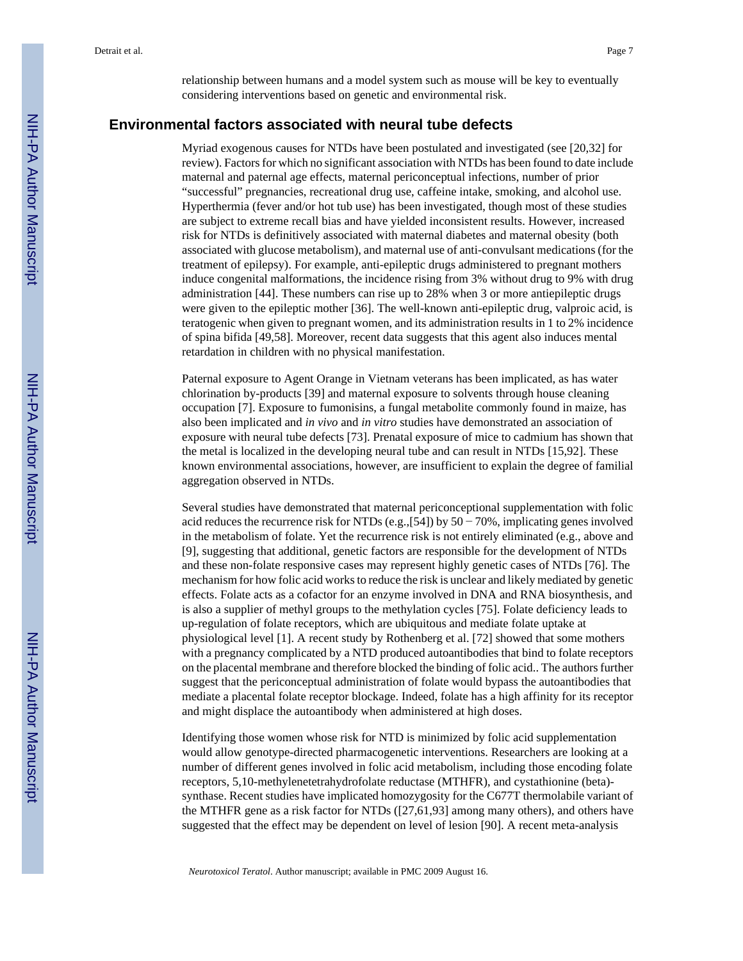relationship between humans and a model system such as mouse will be key to eventually considering interventions based on genetic and environmental risk.

#### **Environmental factors associated with neural tube defects**

Myriad exogenous causes for NTDs have been postulated and investigated (see [20,32] for review). Factors for which no significant association with NTDs has been found to date include maternal and paternal age effects, maternal periconceptual infections, number of prior "successful" pregnancies, recreational drug use, caffeine intake, smoking, and alcohol use. Hyperthermia (fever and/or hot tub use) has been investigated, though most of these studies are subject to extreme recall bias and have yielded inconsistent results. However, increased risk for NTDs is definitively associated with maternal diabetes and maternal obesity (both associated with glucose metabolism), and maternal use of anti-convulsant medications (for the treatment of epilepsy). For example, anti-epileptic drugs administered to pregnant mothers induce congenital malformations, the incidence rising from 3% without drug to 9% with drug administration [44]. These numbers can rise up to 28% when 3 or more antiepileptic drugs were given to the epileptic mother [36]. The well-known anti-epileptic drug, valproic acid, is teratogenic when given to pregnant women, and its administration results in 1 to 2% incidence of spina bifida [49,58]. Moreover, recent data suggests that this agent also induces mental retardation in children with no physical manifestation.

Paternal exposure to Agent Orange in Vietnam veterans has been implicated, as has water chlorination by-products [39] and maternal exposure to solvents through house cleaning occupation [7]. Exposure to fumonisins, a fungal metabolite commonly found in maize, has also been implicated and *in vivo* and *in vitro* studies have demonstrated an association of exposure with neural tube defects [73]. Prenatal exposure of mice to cadmium has shown that the metal is localized in the developing neural tube and can result in NTDs [15,92]. These known environmental associations, however, are insufficient to explain the degree of familial aggregation observed in NTDs.

Several studies have demonstrated that maternal periconceptional supplementation with folic acid reduces the recurrence risk for NTDs (e.g.,[54]) by  $50 - 70\%$ , implicating genes involved in the metabolism of folate. Yet the recurrence risk is not entirely eliminated (e.g., above and [9], suggesting that additional, genetic factors are responsible for the development of NTDs and these non-folate responsive cases may represent highly genetic cases of NTDs [76]. The mechanism for how folic acid works to reduce the risk is unclear and likely mediated by genetic effects. Folate acts as a cofactor for an enzyme involved in DNA and RNA biosynthesis, and is also a supplier of methyl groups to the methylation cycles [75]. Folate deficiency leads to up-regulation of folate receptors, which are ubiquitous and mediate folate uptake at physiological level [1]. A recent study by Rothenberg et al. [72] showed that some mothers with a pregnancy complicated by a NTD produced autoantibodies that bind to folate receptors on the placental membrane and therefore blocked the binding of folic acid.. The authors further suggest that the periconceptual administration of folate would bypass the autoantibodies that mediate a placental folate receptor blockage. Indeed, folate has a high affinity for its receptor and might displace the autoantibody when administered at high doses.

Identifying those women whose risk for NTD is minimized by folic acid supplementation would allow genotype-directed pharmacogenetic interventions. Researchers are looking at a number of different genes involved in folic acid metabolism, including those encoding folate receptors, 5,10-methylenetetrahydrofolate reductase (MTHFR), and cystathionine (beta) synthase. Recent studies have implicated homozygosity for the C677T thermolabile variant of the MTHFR gene as a risk factor for NTDs ([27,61,93] among many others), and others have suggested that the effect may be dependent on level of lesion [90]. A recent meta-analysis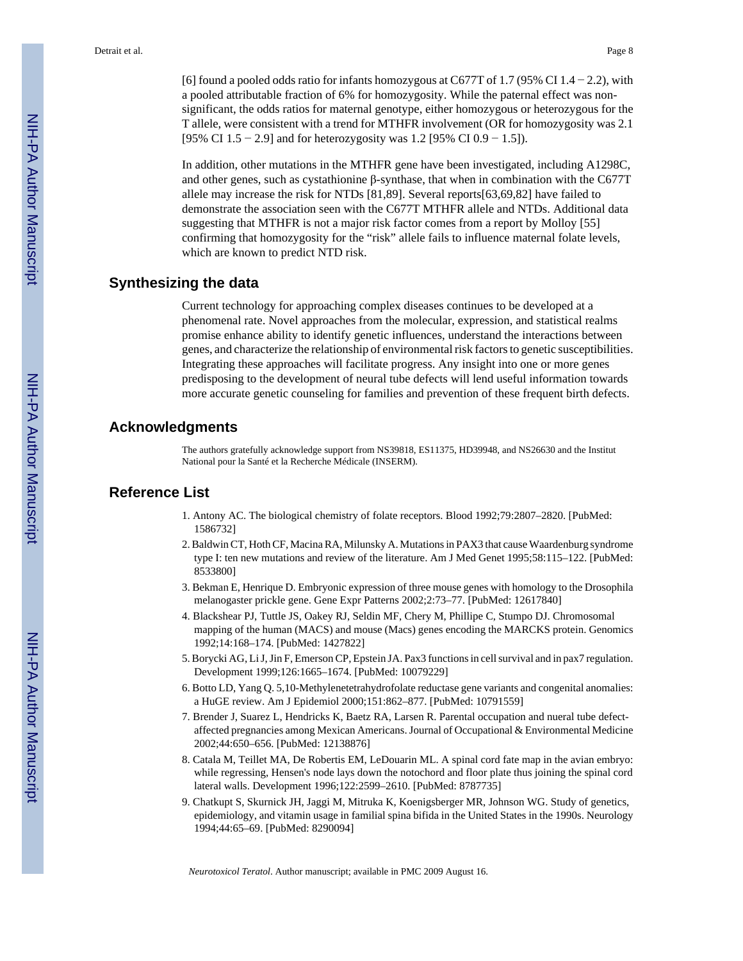[6] found a pooled odds ratio for infants homozygous at C677T of 1.7 (95% CI 1.4 – 2.2), with a pooled attributable fraction of 6% for homozygosity. While the paternal effect was nonsignificant, the odds ratios for maternal genotype, either homozygous or heterozygous for the T allele, were consistent with a trend for MTHFR involvement (OR for homozygosity was 2.1 [95% CI 1.5 − 2.9] and for heterozygosity was 1.2 [95% CI 0.9 − 1.5]).

In addition, other mutations in the MTHFR gene have been investigated, including A1298C, and other genes, such as cystathionine β-synthase, that when in combination with the C677T allele may increase the risk for NTDs [81,89]. Several reports[63,69,82] have failed to demonstrate the association seen with the C677T MTHFR allele and NTDs. Additional data suggesting that MTHFR is not a major risk factor comes from a report by Molloy [55] confirming that homozygosity for the "risk" allele fails to influence maternal folate levels, which are known to predict NTD risk.

#### **Synthesizing the data**

Current technology for approaching complex diseases continues to be developed at a phenomenal rate. Novel approaches from the molecular, expression, and statistical realms promise enhance ability to identify genetic influences, understand the interactions between genes, and characterize the relationship of environmental risk factors to genetic susceptibilities. Integrating these approaches will facilitate progress. Any insight into one or more genes predisposing to the development of neural tube defects will lend useful information towards more accurate genetic counseling for families and prevention of these frequent birth defects.

#### **Acknowledgments**

The authors gratefully acknowledge support from NS39818, ES11375, HD39948, and NS26630 and the Institut National pour la Santé et la Recherche Médicale (INSERM).

#### **Reference List**

- 1. Antony AC. The biological chemistry of folate receptors. Blood 1992;79:2807–2820. [PubMed: 1586732]
- 2. Baldwin CT, Hoth CF, Macina RA, Milunsky A. Mutations in PAX3 that cause Waardenburg syndrome type I: ten new mutations and review of the literature. Am J Med Genet 1995;58:115–122. [PubMed: 8533800]
- 3. Bekman E, Henrique D. Embryonic expression of three mouse genes with homology to the Drosophila melanogaster prickle gene. Gene Expr Patterns 2002;2:73–77. [PubMed: 12617840]
- 4. Blackshear PJ, Tuttle JS, Oakey RJ, Seldin MF, Chery M, Phillipe C, Stumpo DJ. Chromosomal mapping of the human (MACS) and mouse (Macs) genes encoding the MARCKS protein. Genomics 1992;14:168–174. [PubMed: 1427822]
- 5. Borycki AG, Li J, Jin F, Emerson CP, Epstein JA. Pax3 functions in cell survival and in pax7 regulation. Development 1999;126:1665–1674. [PubMed: 10079229]
- 6. Botto LD, Yang Q. 5,10-Methylenetetrahydrofolate reductase gene variants and congenital anomalies: a HuGE review. Am J Epidemiol 2000;151:862–877. [PubMed: 10791559]
- 7. Brender J, Suarez L, Hendricks K, Baetz RA, Larsen R. Parental occupation and nueral tube defectaffected pregnancies among Mexican Americans. Journal of Occupational & Environmental Medicine 2002;44:650–656. [PubMed: 12138876]
- 8. Catala M, Teillet MA, De Robertis EM, LeDouarin ML. A spinal cord fate map in the avian embryo: while regressing, Hensen's node lays down the notochord and floor plate thus joining the spinal cord lateral walls. Development 1996;122:2599–2610. [PubMed: 8787735]
- 9. Chatkupt S, Skurnick JH, Jaggi M, Mitruka K, Koenigsberger MR, Johnson WG. Study of genetics, epidemiology, and vitamin usage in familial spina bifida in the United States in the 1990s. Neurology 1994;44:65–69. [PubMed: 8290094]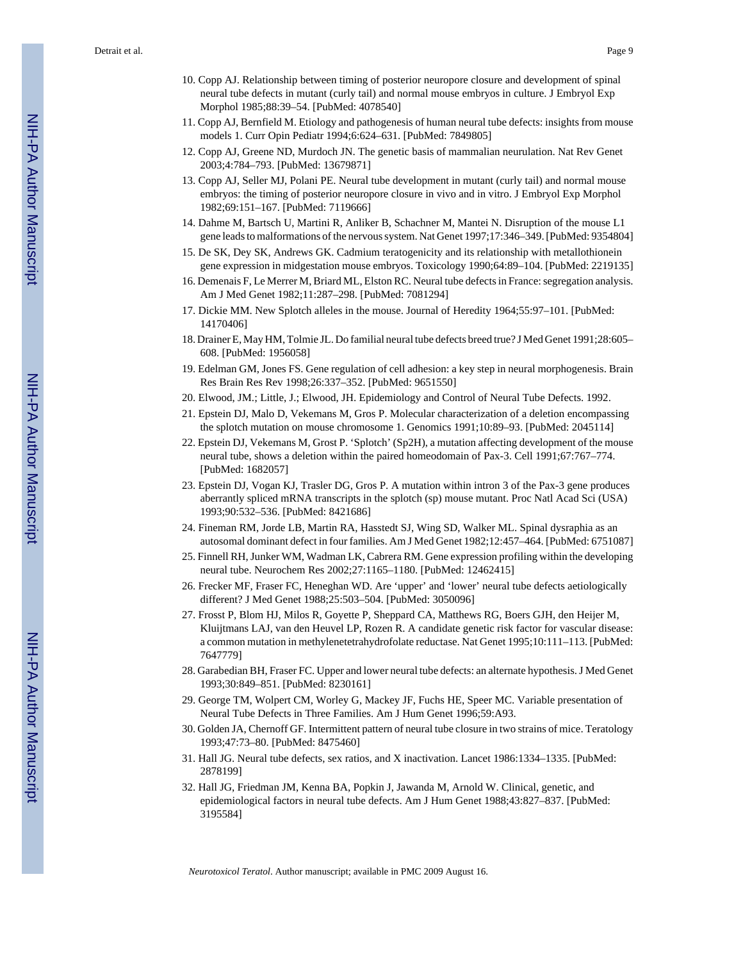Detrait et al. Page 9

- 10. Copp AJ. Relationship between timing of posterior neuropore closure and development of spinal neural tube defects in mutant (curly tail) and normal mouse embryos in culture. J Embryol Exp Morphol 1985;88:39–54. [PubMed: 4078540]
- 11. Copp AJ, Bernfield M. Etiology and pathogenesis of human neural tube defects: insights from mouse models 1. Curr Opin Pediatr 1994;6:624–631. [PubMed: 7849805]
- 12. Copp AJ, Greene ND, Murdoch JN. The genetic basis of mammalian neurulation. Nat Rev Genet 2003;4:784–793. [PubMed: 13679871]
- 13. Copp AJ, Seller MJ, Polani PE. Neural tube development in mutant (curly tail) and normal mouse embryos: the timing of posterior neuropore closure in vivo and in vitro. J Embryol Exp Morphol 1982;69:151–167. [PubMed: 7119666]
- 14. Dahme M, Bartsch U, Martini R, Anliker B, Schachner M, Mantei N. Disruption of the mouse L1 gene leads to malformations of the nervous system. Nat Genet 1997;17:346–349. [PubMed: 9354804]
- 15. De SK, Dey SK, Andrews GK. Cadmium teratogenicity and its relationship with metallothionein gene expression in midgestation mouse embryos. Toxicology 1990;64:89–104. [PubMed: 2219135]
- 16. Demenais F, Le Merrer M, Briard ML, Elston RC. Neural tube defects in France: segregation analysis. Am J Med Genet 1982;11:287–298. [PubMed: 7081294]
- 17. Dickie MM. New Splotch alleles in the mouse. Journal of Heredity 1964;55:97–101. [PubMed: 14170406]
- 18. Drainer E, May HM, Tolmie JL. Do familial neural tube defects breed true? J Med Genet 1991;28:605– 608. [PubMed: 1956058]
- 19. Edelman GM, Jones FS. Gene regulation of cell adhesion: a key step in neural morphogenesis. Brain Res Brain Res Rev 1998;26:337–352. [PubMed: 9651550]
- 20. Elwood, JM.; Little, J.; Elwood, JH. Epidemiology and Control of Neural Tube Defects. 1992.
- 21. Epstein DJ, Malo D, Vekemans M, Gros P. Molecular characterization of a deletion encompassing the splotch mutation on mouse chromosome 1. Genomics 1991;10:89–93. [PubMed: 2045114]
- 22. Epstein DJ, Vekemans M, Grost P. 'Splotch' (Sp2H), a mutation affecting development of the mouse neural tube, shows a deletion within the paired homeodomain of Pax-3. Cell 1991;67:767–774. [PubMed: 1682057]
- 23. Epstein DJ, Vogan KJ, Trasler DG, Gros P. A mutation within intron 3 of the Pax-3 gene produces aberrantly spliced mRNA transcripts in the splotch (sp) mouse mutant. Proc Natl Acad Sci (USA) 1993;90:532–536. [PubMed: 8421686]
- 24. Fineman RM, Jorde LB, Martin RA, Hasstedt SJ, Wing SD, Walker ML. Spinal dysraphia as an autosomal dominant defect in four families. Am J Med Genet 1982;12:457–464. [PubMed: 6751087]
- 25. Finnell RH, Junker WM, Wadman LK, Cabrera RM. Gene expression profiling within the developing neural tube. Neurochem Res 2002;27:1165–1180. [PubMed: 12462415]
- 26. Frecker MF, Fraser FC, Heneghan WD. Are 'upper' and 'lower' neural tube defects aetiologically different? J Med Genet 1988;25:503–504. [PubMed: 3050096]
- 27. Frosst P, Blom HJ, Milos R, Goyette P, Sheppard CA, Matthews RG, Boers GJH, den Heijer M, Kluijtmans LAJ, van den Heuvel LP, Rozen R. A candidate genetic risk factor for vascular disease: a common mutation in methylenetetrahydrofolate reductase. Nat Genet 1995;10:111–113. [PubMed: 7647779]
- 28. Garabedian BH, Fraser FC. Upper and lower neural tube defects: an alternate hypothesis. J Med Genet 1993;30:849–851. [PubMed: 8230161]
- 29. George TM, Wolpert CM, Worley G, Mackey JF, Fuchs HE, Speer MC. Variable presentation of Neural Tube Defects in Three Families. Am J Hum Genet 1996;59:A93.
- 30. Golden JA, Chernoff GF. Intermittent pattern of neural tube closure in two strains of mice. Teratology 1993;47:73–80. [PubMed: 8475460]
- 31. Hall JG. Neural tube defects, sex ratios, and X inactivation. Lancet 1986:1334–1335. [PubMed: 2878199]
- 32. Hall JG, Friedman JM, Kenna BA, Popkin J, Jawanda M, Arnold W. Clinical, genetic, and epidemiological factors in neural tube defects. Am J Hum Genet 1988;43:827–837. [PubMed: 3195584]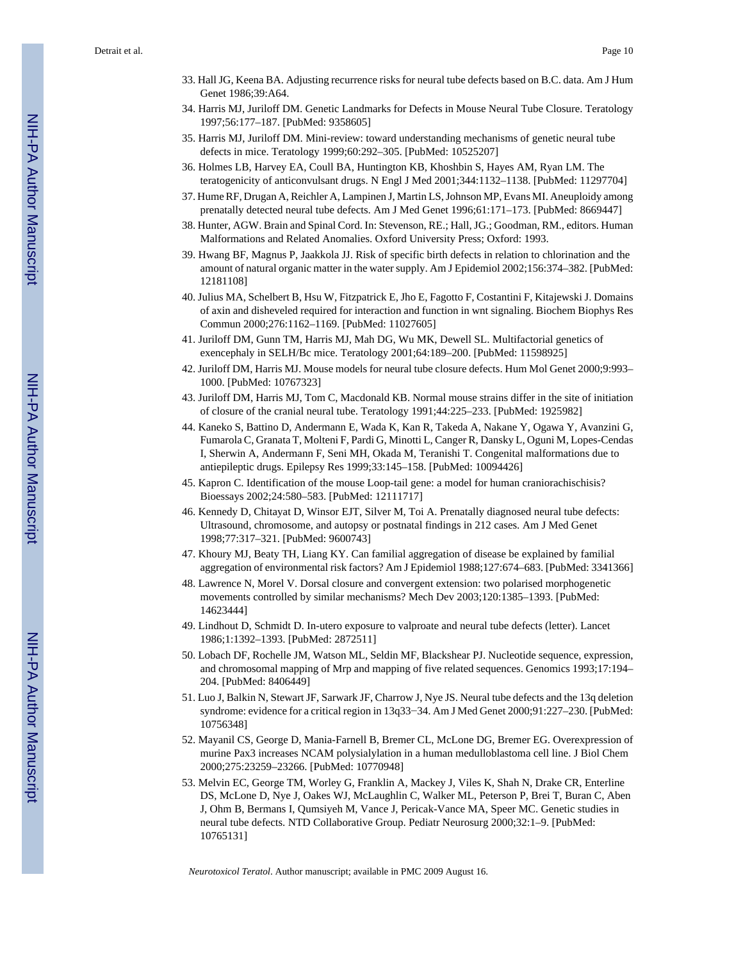- 33. Hall JG, Keena BA. Adjusting recurrence risks for neural tube defects based on B.C. data. Am J Hum Genet 1986;39:A64.
- 34. Harris MJ, Juriloff DM. Genetic Landmarks for Defects in Mouse Neural Tube Closure. Teratology 1997;56:177–187. [PubMed: 9358605]
- 35. Harris MJ, Juriloff DM. Mini-review: toward understanding mechanisms of genetic neural tube defects in mice. Teratology 1999;60:292–305. [PubMed: 10525207]
- 36. Holmes LB, Harvey EA, Coull BA, Huntington KB, Khoshbin S, Hayes AM, Ryan LM. The teratogenicity of anticonvulsant drugs. N Engl J Med 2001;344:1132–1138. [PubMed: 11297704]
- 37. Hume RF, Drugan A, Reichler A, Lampinen J, Martin LS, Johnson MP, Evans MI. Aneuploidy among prenatally detected neural tube defects. Am J Med Genet 1996;61:171–173. [PubMed: 8669447]
- 38. Hunter, AGW. Brain and Spinal Cord. In: Stevenson, RE.; Hall, JG.; Goodman, RM., editors. Human Malformations and Related Anomalies. Oxford University Press; Oxford: 1993.
- 39. Hwang BF, Magnus P, Jaakkola JJ. Risk of specific birth defects in relation to chlorination and the amount of natural organic matter in the water supply. Am J Epidemiol 2002;156:374–382. [PubMed: 12181108]
- 40. Julius MA, Schelbert B, Hsu W, Fitzpatrick E, Jho E, Fagotto F, Costantini F, Kitajewski J. Domains of axin and disheveled required for interaction and function in wnt signaling. Biochem Biophys Res Commun 2000;276:1162–1169. [PubMed: 11027605]
- 41. Juriloff DM, Gunn TM, Harris MJ, Mah DG, Wu MK, Dewell SL. Multifactorial genetics of exencephaly in SELH/Bc mice. Teratology 2001;64:189–200. [PubMed: 11598925]
- 42. Juriloff DM, Harris MJ. Mouse models for neural tube closure defects. Hum Mol Genet 2000;9:993– 1000. [PubMed: 10767323]
- 43. Juriloff DM, Harris MJ, Tom C, Macdonald KB. Normal mouse strains differ in the site of initiation of closure of the cranial neural tube. Teratology 1991;44:225–233. [PubMed: 1925982]
- 44. Kaneko S, Battino D, Andermann E, Wada K, Kan R, Takeda A, Nakane Y, Ogawa Y, Avanzini G, Fumarola C, Granata T, Molteni F, Pardi G, Minotti L, Canger R, Dansky L, Oguni M, Lopes-Cendas I, Sherwin A, Andermann F, Seni MH, Okada M, Teranishi T. Congenital malformations due to antiepileptic drugs. Epilepsy Res 1999;33:145–158. [PubMed: 10094426]
- 45. Kapron C. Identification of the mouse Loop-tail gene: a model for human craniorachischisis? Bioessays 2002;24:580–583. [PubMed: 12111717]
- 46. Kennedy D, Chitayat D, Winsor EJT, Silver M, Toi A. Prenatally diagnosed neural tube defects: Ultrasound, chromosome, and autopsy or postnatal findings in 212 cases. Am J Med Genet 1998;77:317–321. [PubMed: 9600743]
- 47. Khoury MJ, Beaty TH, Liang KY. Can familial aggregation of disease be explained by familial aggregation of environmental risk factors? Am J Epidemiol 1988;127:674–683. [PubMed: 3341366]
- 48. Lawrence N, Morel V. Dorsal closure and convergent extension: two polarised morphogenetic movements controlled by similar mechanisms? Mech Dev 2003;120:1385–1393. [PubMed: 14623444]
- 49. Lindhout D, Schmidt D. In-utero exposure to valproate and neural tube defects (letter). Lancet 1986;1:1392–1393. [PubMed: 2872511]
- 50. Lobach DF, Rochelle JM, Watson ML, Seldin MF, Blackshear PJ. Nucleotide sequence, expression, and chromosomal mapping of Mrp and mapping of five related sequences. Genomics 1993;17:194– 204. [PubMed: 8406449]
- 51. Luo J, Balkin N, Stewart JF, Sarwark JF, Charrow J, Nye JS. Neural tube defects and the 13q deletion syndrome: evidence for a critical region in 13q33–34. Am J Med Genet 2000;91:227–230. [PubMed: 10756348]
- 52. Mayanil CS, George D, Mania-Farnell B, Bremer CL, McLone DG, Bremer EG. Overexpression of murine Pax3 increases NCAM polysialylation in a human medulloblastoma cell line. J Biol Chem 2000;275:23259–23266. [PubMed: 10770948]
- 53. Melvin EC, George TM, Worley G, Franklin A, Mackey J, Viles K, Shah N, Drake CR, Enterline DS, McLone D, Nye J, Oakes WJ, McLaughlin C, Walker ML, Peterson P, Brei T, Buran C, Aben J, Ohm B, Bermans I, Qumsiyeh M, Vance J, Pericak-Vance MA, Speer MC. Genetic studies in neural tube defects. NTD Collaborative Group. Pediatr Neurosurg 2000;32:1–9. [PubMed: 10765131]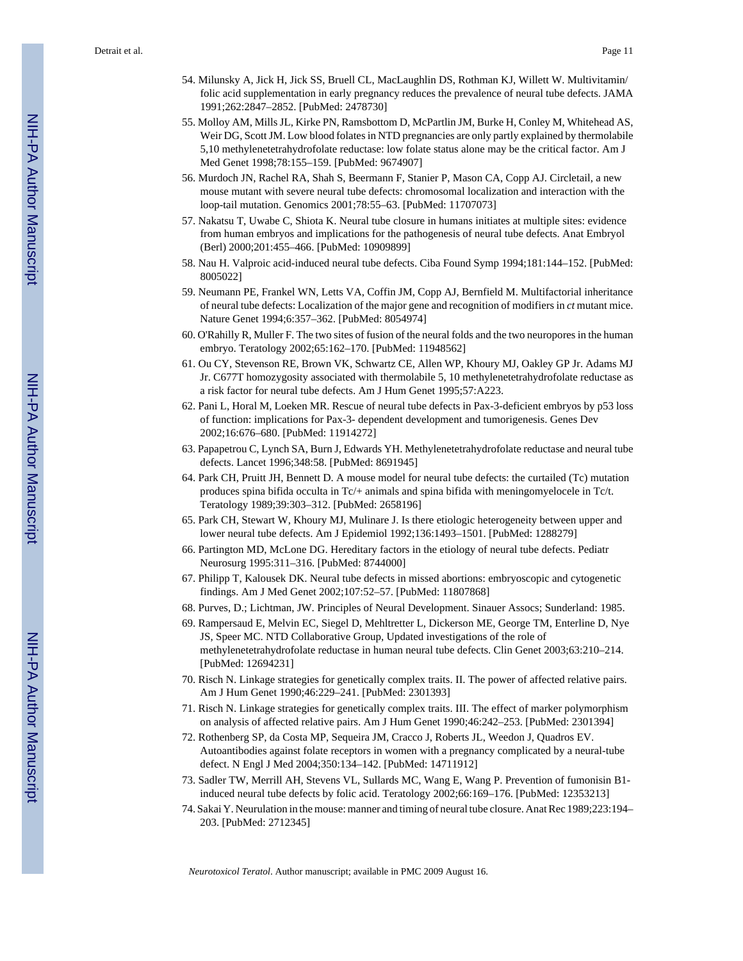- 54. Milunsky A, Jick H, Jick SS, Bruell CL, MacLaughlin DS, Rothman KJ, Willett W. Multivitamin/ folic acid supplementation in early pregnancy reduces the prevalence of neural tube defects. JAMA 1991;262:2847–2852. [PubMed: 2478730]
- 55. Molloy AM, Mills JL, Kirke PN, Ramsbottom D, McPartlin JM, Burke H, Conley M, Whitehead AS, Weir DG, Scott JM. Low blood folates in NTD pregnancies are only partly explained by thermolabile 5,10 methylenetetrahydrofolate reductase: low folate status alone may be the critical factor. Am J Med Genet 1998;78:155–159. [PubMed: 9674907]
- 56. Murdoch JN, Rachel RA, Shah S, Beermann F, Stanier P, Mason CA, Copp AJ. Circletail, a new mouse mutant with severe neural tube defects: chromosomal localization and interaction with the loop-tail mutation. Genomics 2001;78:55–63. [PubMed: 11707073]
- 57. Nakatsu T, Uwabe C, Shiota K. Neural tube closure in humans initiates at multiple sites: evidence from human embryos and implications for the pathogenesis of neural tube defects. Anat Embryol (Berl) 2000;201:455–466. [PubMed: 10909899]
- 58. Nau H. Valproic acid-induced neural tube defects. Ciba Found Symp 1994;181:144–152. [PubMed: 8005022]
- 59. Neumann PE, Frankel WN, Letts VA, Coffin JM, Copp AJ, Bernfield M. Multifactorial inheritance of neural tube defects: Localization of the major gene and recognition of modifiers in *ct* mutant mice. Nature Genet 1994;6:357–362. [PubMed: 8054974]
- 60. O'Rahilly R, Muller F. The two sites of fusion of the neural folds and the two neuropores in the human embryo. Teratology 2002;65:162–170. [PubMed: 11948562]
- 61. Ou CY, Stevenson RE, Brown VK, Schwartz CE, Allen WP, Khoury MJ, Oakley GP Jr. Adams MJ Jr. C677T homozygosity associated with thermolabile 5, 10 methylenetetrahydrofolate reductase as a risk factor for neural tube defects. Am J Hum Genet 1995;57:A223.
- 62. Pani L, Horal M, Loeken MR. Rescue of neural tube defects in Pax-3-deficient embryos by p53 loss of function: implications for Pax-3- dependent development and tumorigenesis. Genes Dev 2002;16:676–680. [PubMed: 11914272]
- 63. Papapetrou C, Lynch SA, Burn J, Edwards YH. Methylenetetrahydrofolate reductase and neural tube defects. Lancet 1996;348:58. [PubMed: 8691945]
- 64. Park CH, Pruitt JH, Bennett D. A mouse model for neural tube defects: the curtailed (Tc) mutation produces spina bifida occulta in Tc/+ animals and spina bifida with meningomyelocele in Tc/t. Teratology 1989;39:303–312. [PubMed: 2658196]
- 65. Park CH, Stewart W, Khoury MJ, Mulinare J. Is there etiologic heterogeneity between upper and lower neural tube defects. Am J Epidemiol 1992;136:1493–1501. [PubMed: 1288279]
- 66. Partington MD, McLone DG. Hereditary factors in the etiology of neural tube defects. Pediatr Neurosurg 1995:311–316. [PubMed: 8744000]
- 67. Philipp T, Kalousek DK. Neural tube defects in missed abortions: embryoscopic and cytogenetic findings. Am J Med Genet 2002;107:52–57. [PubMed: 11807868]
- 68. Purves, D.; Lichtman, JW. Principles of Neural Development. Sinauer Assocs; Sunderland: 1985.
- 69. Rampersaud E, Melvin EC, Siegel D, Mehltretter L, Dickerson ME, George TM, Enterline D, Nye JS, Speer MC. NTD Collaborative Group, Updated investigations of the role of methylenetetrahydrofolate reductase in human neural tube defects. Clin Genet 2003;63:210–214. [PubMed: 12694231]
- 70. Risch N. Linkage strategies for genetically complex traits. II. The power of affected relative pairs. Am J Hum Genet 1990;46:229–241. [PubMed: 2301393]
- 71. Risch N. Linkage strategies for genetically complex traits. III. The effect of marker polymorphism on analysis of affected relative pairs. Am J Hum Genet 1990;46:242–253. [PubMed: 2301394]
- 72. Rothenberg SP, da Costa MP, Sequeira JM, Cracco J, Roberts JL, Weedon J, Quadros EV. Autoantibodies against folate receptors in women with a pregnancy complicated by a neural-tube defect. N Engl J Med 2004;350:134–142. [PubMed: 14711912]
- 73. Sadler TW, Merrill AH, Stevens VL, Sullards MC, Wang E, Wang P. Prevention of fumonisin B1 induced neural tube defects by folic acid. Teratology 2002;66:169–176. [PubMed: 12353213]
- 74. Sakai Y. Neurulation in the mouse: manner and timing of neural tube closure. Anat Rec 1989;223:194– 203. [PubMed: 2712345]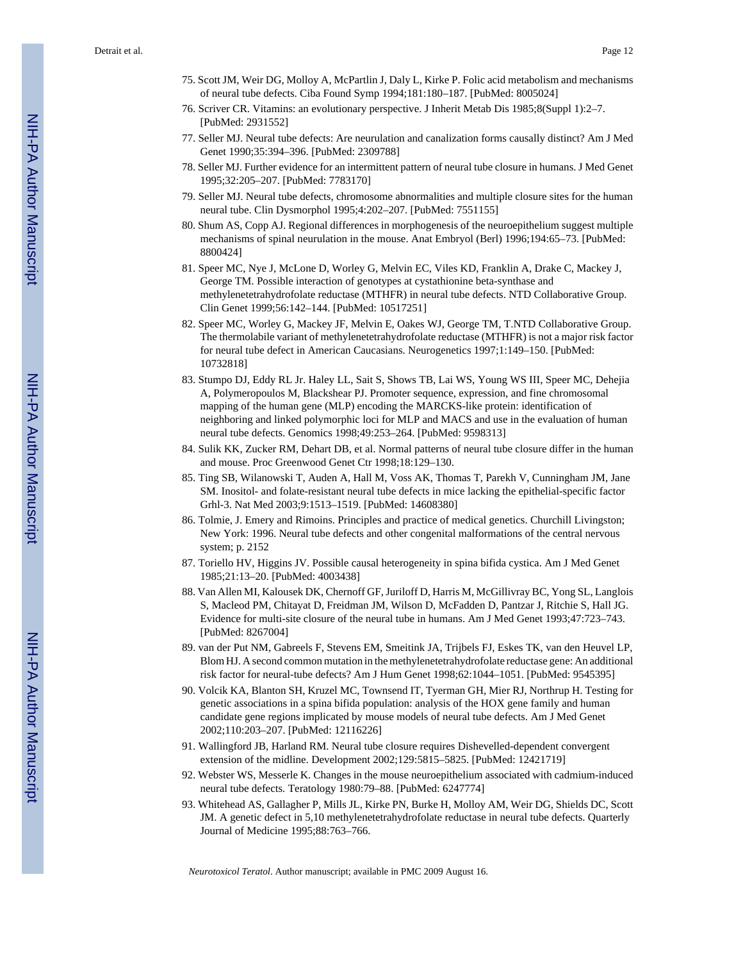- 75. Scott JM, Weir DG, Molloy A, McPartlin J, Daly L, Kirke P. Folic acid metabolism and mechanisms of neural tube defects. Ciba Found Symp 1994;181:180–187. [PubMed: 8005024]
- 76. Scriver CR. Vitamins: an evolutionary perspective. J Inherit Metab Dis 1985;8(Suppl 1):2–7. [PubMed: 2931552]
- 77. Seller MJ. Neural tube defects: Are neurulation and canalization forms causally distinct? Am J Med Genet 1990;35:394–396. [PubMed: 2309788]
- 78. Seller MJ. Further evidence for an intermittent pattern of neural tube closure in humans. J Med Genet 1995;32:205–207. [PubMed: 7783170]
- 79. Seller MJ. Neural tube defects, chromosome abnormalities and multiple closure sites for the human neural tube. Clin Dysmorphol 1995;4:202–207. [PubMed: 7551155]
- 80. Shum AS, Copp AJ. Regional differences in morphogenesis of the neuroepithelium suggest multiple mechanisms of spinal neurulation in the mouse. Anat Embryol (Berl) 1996;194:65–73. [PubMed: 8800424]
- 81. Speer MC, Nye J, McLone D, Worley G, Melvin EC, Viles KD, Franklin A, Drake C, Mackey J, George TM. Possible interaction of genotypes at cystathionine beta-synthase and methylenetetrahydrofolate reductase (MTHFR) in neural tube defects. NTD Collaborative Group. Clin Genet 1999;56:142–144. [PubMed: 10517251]
- 82. Speer MC, Worley G, Mackey JF, Melvin E, Oakes WJ, George TM, T.NTD Collaborative Group. The thermolabile variant of methylenetetrahydrofolate reductase (MTHFR) is not a major risk factor for neural tube defect in American Caucasians. Neurogenetics 1997;1:149–150. [PubMed: 10732818]
- 83. Stumpo DJ, Eddy RL Jr. Haley LL, Sait S, Shows TB, Lai WS, Young WS III, Speer MC, Dehejia A, Polymeropoulos M, Blackshear PJ. Promoter sequence, expression, and fine chromosomal mapping of the human gene (MLP) encoding the MARCKS-like protein: identification of neighboring and linked polymorphic loci for MLP and MACS and use in the evaluation of human neural tube defects. Genomics 1998;49:253–264. [PubMed: 9598313]
- 84. Sulik KK, Zucker RM, Dehart DB, et al. Normal patterns of neural tube closure differ in the human and mouse. Proc Greenwood Genet Ctr 1998;18:129–130.
- 85. Ting SB, Wilanowski T, Auden A, Hall M, Voss AK, Thomas T, Parekh V, Cunningham JM, Jane SM. Inositol- and folate-resistant neural tube defects in mice lacking the epithelial-specific factor Grhl-3. Nat Med 2003;9:1513–1519. [PubMed: 14608380]
- 86. Tolmie, J. Emery and Rimoins. Principles and practice of medical genetics. Churchill Livingston; New York: 1996. Neural tube defects and other congenital malformations of the central nervous system; p. 2152
- 87. Toriello HV, Higgins JV. Possible causal heterogeneity in spina bifida cystica. Am J Med Genet 1985;21:13–20. [PubMed: 4003438]
- 88. Van Allen MI, Kalousek DK, Chernoff GF, Juriloff D, Harris M, McGillivray BC, Yong SL, Langlois S, Macleod PM, Chitayat D, Freidman JM, Wilson D, McFadden D, Pantzar J, Ritchie S, Hall JG. Evidence for multi-site closure of the neural tube in humans. Am J Med Genet 1993;47:723–743. [PubMed: 8267004]
- 89. van der Put NM, Gabreels F, Stevens EM, Smeitink JA, Trijbels FJ, Eskes TK, van den Heuvel LP, Blom HJ. A second common mutation in the methylenetetrahydrofolate reductase gene: An additional risk factor for neural-tube defects? Am J Hum Genet 1998;62:1044–1051. [PubMed: 9545395]
- 90. Volcik KA, Blanton SH, Kruzel MC, Townsend IT, Tyerman GH, Mier RJ, Northrup H. Testing for genetic associations in a spina bifida population: analysis of the HOX gene family and human candidate gene regions implicated by mouse models of neural tube defects. Am J Med Genet 2002;110:203–207. [PubMed: 12116226]
- 91. Wallingford JB, Harland RM. Neural tube closure requires Dishevelled-dependent convergent extension of the midline. Development 2002;129:5815–5825. [PubMed: 12421719]
- 92. Webster WS, Messerle K. Changes in the mouse neuroepithelium associated with cadmium-induced neural tube defects. Teratology 1980:79–88. [PubMed: 6247774]
- 93. Whitehead AS, Gallagher P, Mills JL, Kirke PN, Burke H, Molloy AM, Weir DG, Shields DC, Scott JM. A genetic defect in 5,10 methylenetetrahydrofolate reductase in neural tube defects. Quarterly Journal of Medicine 1995;88:763–766.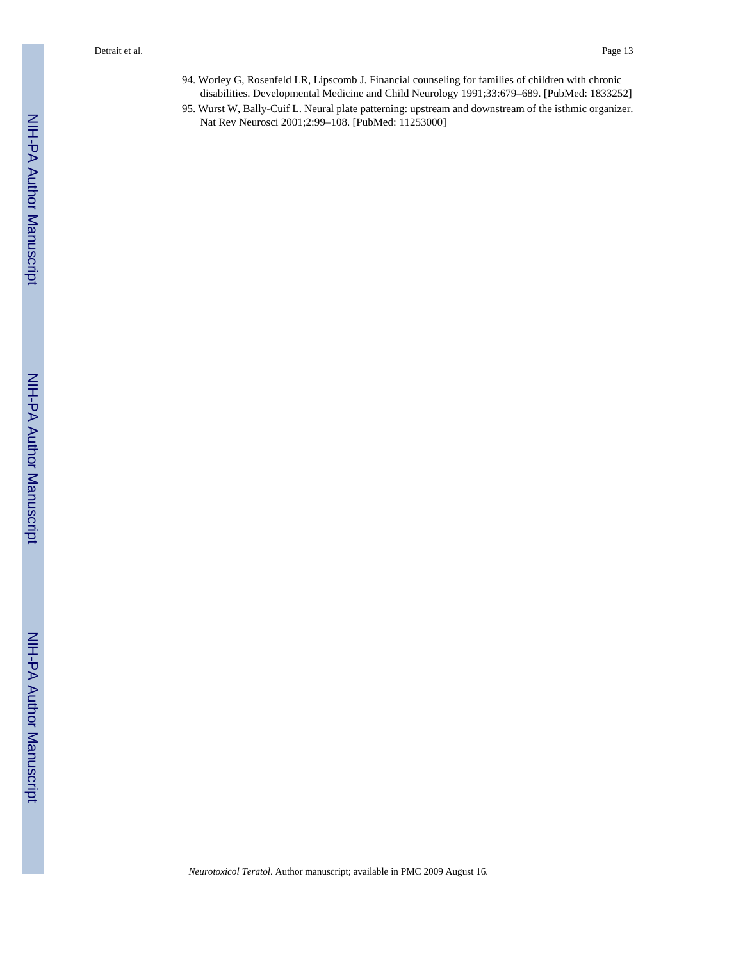- 94. Worley G, Rosenfeld LR, Lipscomb J. Financial counseling for families of children with chronic disabilities. Developmental Medicine and Child Neurology 1991;33:679–689. [PubMed: 1833252]
- 95. Wurst W, Bally-Cuif L. Neural plate patterning: upstream and downstream of the isthmic organizer. Nat Rev Neurosci 2001;2:99–108. [PubMed: 11253000]